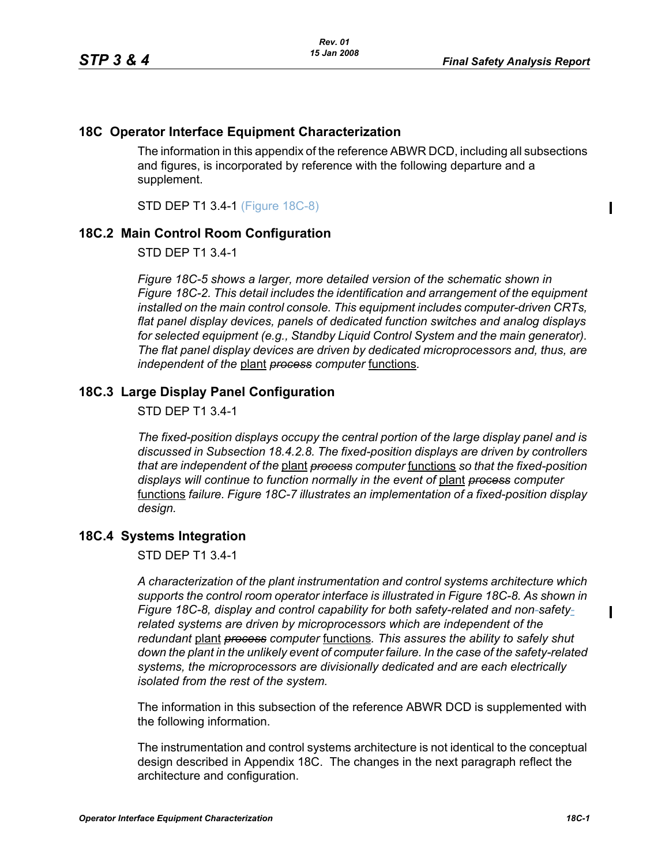$\blacksquare$ 

## **18C Operator Interface Equipment Characterization**

The information in this appendix of the reference ABWR DCD, including all subsections and figures, is incorporated by reference with the following departure and a supplement.

STD DEP T1 3.4-1 (Figure 18C-8)

## **18C.2 Main Control Room Configuration**

STD DEP T1 3.4-1

*Figure 18C-5 shows a larger, more detailed version of the schematic shown in Figure 18C-2. This detail includes the identification and arrangement of the equipment installed on the main control console. This equipment includes computer-driven CRTs, flat panel display devices, panels of dedicated function switches and analog displays for selected equipment (e.g., Standby Liquid Control System and the main generator). The flat panel display devices are driven by dedicated microprocessors and, thus, are independent of the* plant *process computer* functions*.*

## **18C.3 Large Display Panel Configuration**

STD DEP T1 3.4-1

*The fixed-position displays occupy the central portion of the large display panel and is discussed in Subsection 18.4.2.8. The fixed-position displays are driven by controllers that are independent of the* plant *process computer* functions *so that the fixed-position displays will continue to function normally in the event of* plant *process computer*  functions *failure. Figure 18C-7 illustrates an implementation of a fixed-position display design.*

## **18C.4 Systems Integration**

STD DEP T1 3.4-1

*A characterization of the plant instrumentation and control systems architecture which supports the control room operator interface is illustrated in Figure 18C-8. As shown in Figure 18C-8, display and control capability for both safety-related and non-safetyrelated systems are driven by microprocessors which are independent of the redundant* plant *process computer* functions*. This assures the ability to safely shut down the plant in the unlikely event of computer failure. In the case of the safety-related systems, the microprocessors are divisionally dedicated and are each electrically isolated from the rest of the system.*

The information in this subsection of the reference ABWR DCD is supplemented with the following information.

The instrumentation and control systems architecture is not identical to the conceptual design described in Appendix 18C. The changes in the next paragraph reflect the architecture and configuration.

 $\blacksquare$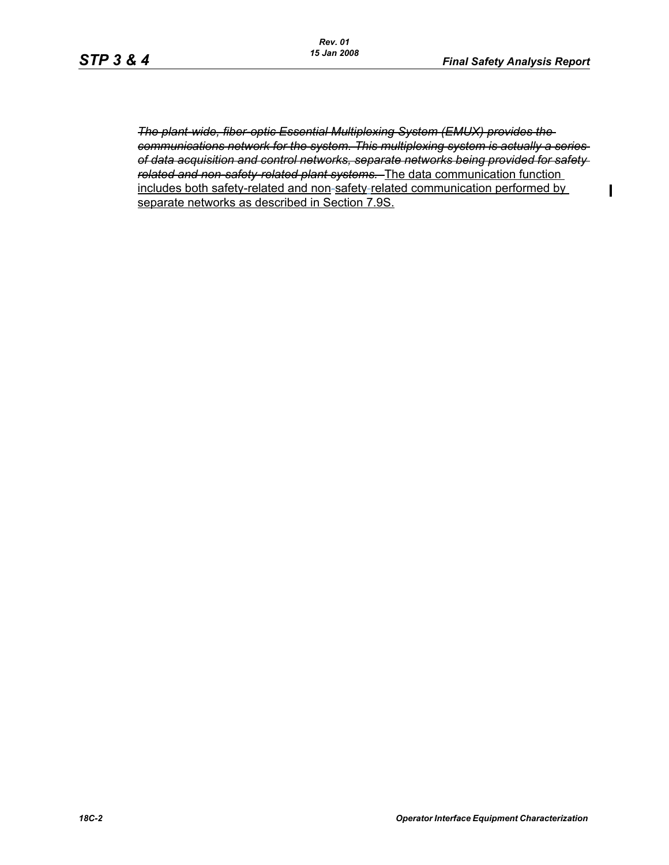$\mathbf I$ 

*The plant-wide, fiber-optic Essential Multiplexing System (EMUX) provides the communications network for the system. This multiplexing system is actually a series of data acquisition and control networks, separate networks being provided for safety related and non-safety-related plant systems.* The data communication function includes both safety-related and non-safety-related communication performed by separate networks as described in Section 7.9S.